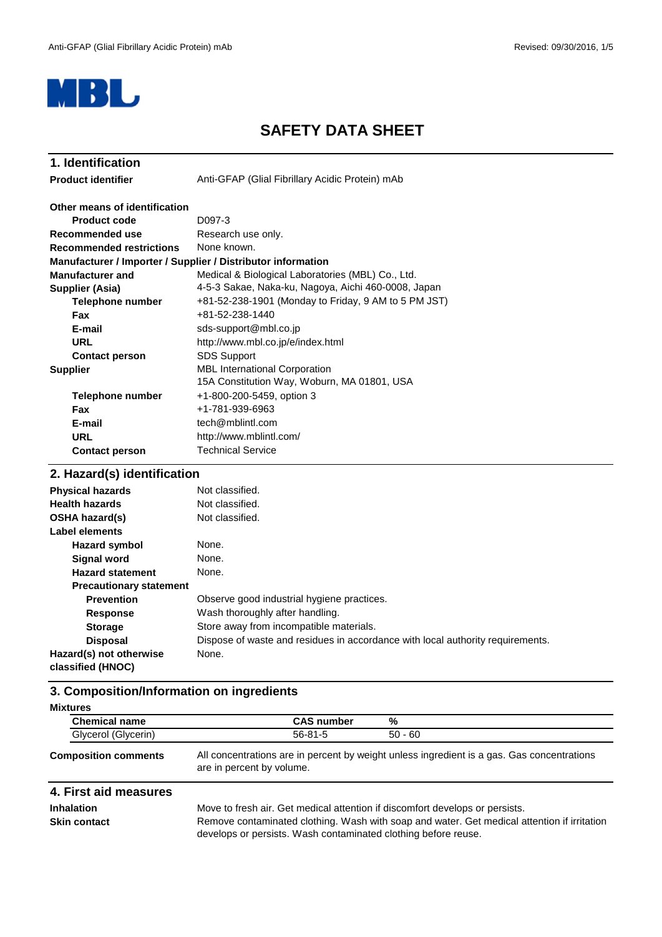

# **SAFETY DATA SHEET**

| 1. Identification                                            |                                                      |
|--------------------------------------------------------------|------------------------------------------------------|
| <b>Product identifier</b>                                    | Anti-GFAP (Glial Fibrillary Acidic Protein) mAb      |
| Other means of identification                                |                                                      |
| <b>Product code</b>                                          | D097-3                                               |
| Recommended use                                              | Research use only.                                   |
| <b>Recommended restrictions</b>                              | None known.                                          |
| Manufacturer / Importer / Supplier / Distributor information |                                                      |
| <b>Manufacturer and</b>                                      | Medical & Biological Laboratories (MBL) Co., Ltd.    |
| Supplier (Asia)                                              | 4-5-3 Sakae, Naka-ku, Nagoya, Aichi 460-0008, Japan  |
| Telephone number                                             | +81-52-238-1901 (Monday to Friday, 9 AM to 5 PM JST) |
| <b>Fax</b>                                                   | +81-52-238-1440                                      |
| E-mail                                                       | sds-support@mbl.co.jp                                |
| <b>URL</b>                                                   | http://www.mbl.co.jp/e/index.html                    |
| <b>Contact person</b>                                        | <b>SDS Support</b>                                   |
| <b>Supplier</b>                                              | <b>MBL</b> International Corporation                 |
|                                                              | 15A Constitution Way, Woburn, MA 01801, USA          |
| <b>Telephone number</b>                                      | +1-800-200-5459, option 3                            |
| Fax                                                          | +1-781-939-6963                                      |
| E-mail                                                       | tech@mblintl.com                                     |
| <b>URL</b>                                                   | http://www.mblintl.com/                              |
| <b>Contact person</b>                                        | <b>Technical Service</b>                             |

## **2. Hazard(s) identification**

| <b>Physical hazards</b>                      | Not classified.                                                                |
|----------------------------------------------|--------------------------------------------------------------------------------|
| <b>Health hazards</b>                        | Not classified.                                                                |
| <b>OSHA hazard(s)</b>                        | Not classified.                                                                |
| Label elements                               |                                                                                |
| <b>Hazard symbol</b>                         | None.                                                                          |
| <b>Signal word</b>                           | None.                                                                          |
| <b>Hazard statement</b>                      | None.                                                                          |
| <b>Precautionary statement</b>               |                                                                                |
| <b>Prevention</b>                            | Observe good industrial hygiene practices.                                     |
| <b>Response</b>                              | Wash thoroughly after handling.                                                |
| <b>Storage</b>                               | Store away from incompatible materials.                                        |
| <b>Disposal</b>                              | Dispose of waste and residues in accordance with local authority requirements. |
| Hazard(s) not otherwise<br>classified (HNOC) | None.                                                                          |
|                                              |                                                                                |

# **3. Composition/Information on ingredients**

| <b>Chemical name</b> | <b>CAS number</b> | %         |
|----------------------|-------------------|-----------|
| Glycerol (Glycerin)  | 56-81-5           | $50 - 60$ |

#### All concentrations are in percent by weight unless ingredient is a gas. Gas concentrations are in percent by volume. **Composition comments**

### **4. First aid measures**

**Inhalation**

Move to fresh air. Get medical attention if discomfort develops or persists. **Skin contact** Remove contaminated clothing. Wash with soap and water. Get medical attention if irritation develops or persists. Wash contaminated clothing before reuse.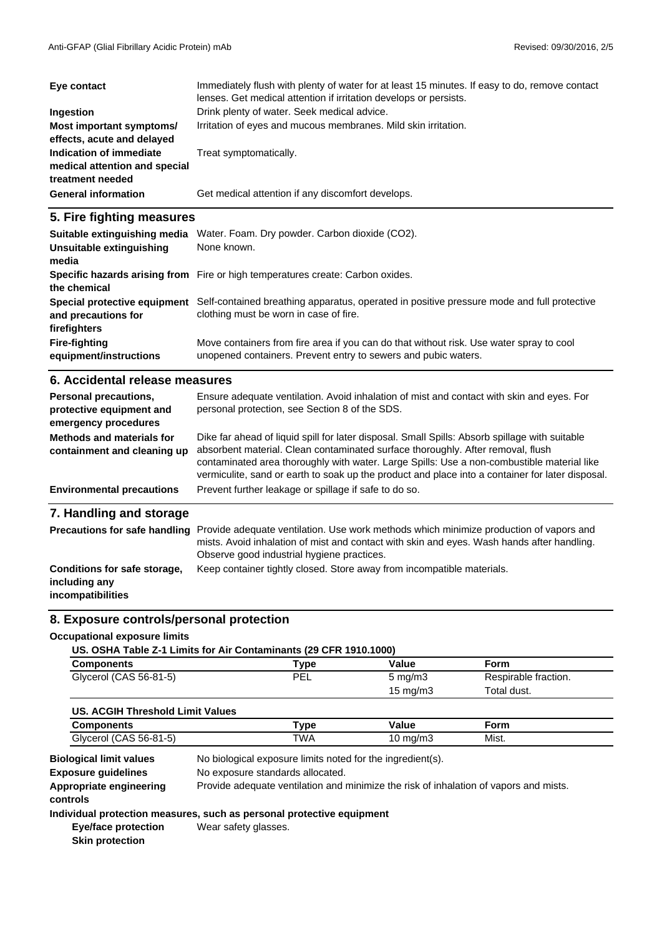| Eye contact                                                                  | Immediately flush with plenty of water for at least 15 minutes. If easy to do, remove contact<br>lenses. Get medical attention if irritation develops or persists. |
|------------------------------------------------------------------------------|--------------------------------------------------------------------------------------------------------------------------------------------------------------------|
| Ingestion                                                                    | Drink plenty of water. Seek medical advice.                                                                                                                        |
| Most important symptoms/<br>effects, acute and delayed                       | Irritation of eyes and mucous membranes. Mild skin irritation.                                                                                                     |
| Indication of immediate<br>medical attention and special<br>treatment needed | Treat symptomatically.                                                                                                                                             |
| <b>General information</b>                                                   | Get medical attention if any discomfort develops.                                                                                                                  |

### **5. Fire fighting measures**

| Suitable extinguishing media<br>Unsuitable extinguishing<br>media | Water. Foam. Dry powder. Carbon dioxide (CO2).<br>None known.                                                                                             |
|-------------------------------------------------------------------|-----------------------------------------------------------------------------------------------------------------------------------------------------------|
| the chemical                                                      | Specific hazards arising from Fire or high temperatures create: Carbon oxides.                                                                            |
| Special protective equipment<br>and precautions for               | Self-contained breathing apparatus, operated in positive pressure mode and full protective<br>clothing must be worn in case of fire.                      |
| firefighters                                                      |                                                                                                                                                           |
| <b>Fire-fighting</b><br>equipment/instructions                    | Move containers from fire area if you can do that without risk. Use water spray to cool<br>unopened containers. Prevent entry to sewers and pubic waters. |

### **6. Accidental release measures**

| Personal precautions,<br>protective equipment and<br>emergency procedures | Ensure adequate ventilation. Avoid inhalation of mist and contact with skin and eyes. For<br>personal protection, see Section 8 of the SDS.                                                                                                                                                                                                                                         |
|---------------------------------------------------------------------------|-------------------------------------------------------------------------------------------------------------------------------------------------------------------------------------------------------------------------------------------------------------------------------------------------------------------------------------------------------------------------------------|
| Methods and materials for<br>containment and cleaning up                  | Dike far ahead of liquid spill for later disposal. Small Spills: Absorb spillage with suitable<br>absorbent material. Clean contaminated surface thoroughly. After removal, flush<br>contaminated area thoroughly with water. Large Spills: Use a non-combustible material like<br>vermiculite, sand or earth to soak up the product and place into a container for later disposal. |
| <b>Environmental precautions</b>                                          | Prevent further leakage or spillage if safe to do so.                                                                                                                                                                                                                                                                                                                               |
| 7. Handling and storage                                                   |                                                                                                                                                                                                                                                                                                                                                                                     |
| <b>Precautions for safe handling</b>                                      | Provide adequate ventilation. Use work methods which minimize production of vapors and<br>mists. Avoid inhalation of mist and contact with skin and eyes. Wash hands after handling.<br>Observe good industrial hygiene practices.                                                                                                                                                  |

Keep container tightly closed. Store away from incompatible materials.

# **Conditions for safe storage, including any**

**incompatibilities**

# **8. Exposure controls/personal protection**

#### **Occupational exposure limits**

| US. OSHA Table Z-1 Limits for Air Contaminants (29 CFR 1910.1000) |      |                       |                      |
|-------------------------------------------------------------------|------|-----------------------|----------------------|
| <b>Components</b>                                                 | Type | Value                 | Form                 |
| Glycerol (CAS 56-81-5)                                            | PEL  | $5 \text{ mg/m}$      | Respirable fraction. |
|                                                                   |      | $15 \text{ m}$ /m $3$ | teuh letaT           |

|                                  |      | טווושווו טו | i ulai uusl. |  |
|----------------------------------|------|-------------|--------------|--|
| US. ACGIH Threshold Limit Values |      |             |              |  |
| <b>Components</b>                | Type | Value       | Form         |  |
| Glycerol (CAS 56-81-5)           | TWA  | 10 mg/m $3$ | Mist.        |  |

**Appropriate engineering** Provide adequate ventilation and minimize the risk of inhalation of vapors and mists. **controls** No exposure standards allocated. **Exposure guidelines** No biological exposure limits noted for the ingredient(s). **Biological limit values**

#### **Individual protection measures, such as personal protective equipment** Wear safety glasses.

**Eye/face protection Skin protection**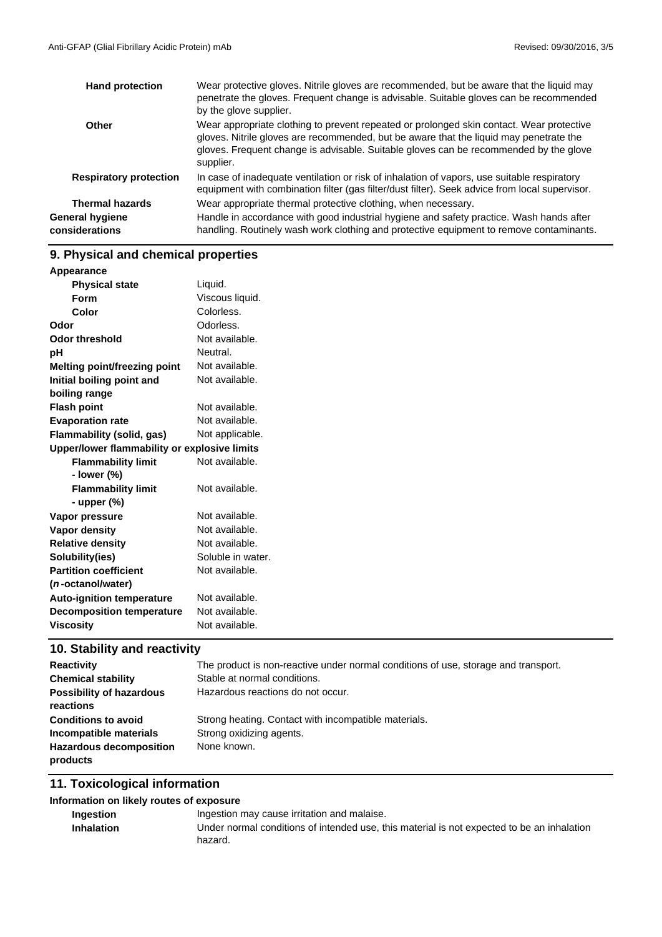| <b>Hand protection</b>            | Wear protective gloves. Nitrile gloves are recommended, but be aware that the liquid may<br>penetrate the gloves. Frequent change is advisable. Suitable gloves can be recommended<br>by the glove supplier.                                                                             |
|-----------------------------------|------------------------------------------------------------------------------------------------------------------------------------------------------------------------------------------------------------------------------------------------------------------------------------------|
| Other                             | Wear appropriate clothing to prevent repeated or prolonged skin contact. Wear protective<br>gloves. Nitrile gloves are recommended, but be aware that the liquid may penetrate the<br>gloves. Frequent change is advisable. Suitable gloves can be recommended by the glove<br>supplier. |
| <b>Respiratory protection</b>     | In case of inadequate ventilation or risk of inhalation of vapors, use suitable respiratory<br>equipment with combination filter (gas filter/dust filter). Seek advice from local supervisor.                                                                                            |
| <b>Thermal hazards</b>            | Wear appropriate thermal protective clothing, when necessary.                                                                                                                                                                                                                            |
| General hygiene<br>considerations | Handle in accordance with good industrial hygiene and safety practice. Wash hands after<br>handling. Routinely wash work clothing and protective equipment to remove contaminants.                                                                                                       |

# **9. Physical and chemical properties**

| Appearance                                   |                   |
|----------------------------------------------|-------------------|
| <b>Physical state</b>                        | Liquid.           |
| Form                                         | Viscous liquid.   |
| Color                                        | Colorless.        |
| Odor                                         | Odorless.         |
| <b>Odor threshold</b>                        | Not available.    |
| pH                                           | Neutral.          |
| <b>Melting point/freezing point</b>          | Not available.    |
| Initial boiling point and                    | Not available.    |
| boiling range                                |                   |
| <b>Flash point</b>                           | Not available.    |
| <b>Evaporation rate</b>                      | Not available.    |
| Flammability (solid, gas)                    | Not applicable.   |
| Upper/lower flammability or explosive limits |                   |
| <b>Flammability limit</b>                    | Not available.    |
| - lower (%)                                  |                   |
| <b>Flammability limit</b>                    | Not available.    |
| - upper $(\%)$                               |                   |
| Vapor pressure                               | Not available.    |
| <b>Vapor density</b>                         | Not available.    |
| <b>Relative density</b>                      | Not available.    |
| Solubility(ies)                              | Soluble in water. |
| <b>Partition coefficient</b>                 | Not available.    |
| ( <i>n</i> -octanol/water)                   |                   |
| <b>Auto-ignition temperature</b>             | Not available.    |
| <b>Decomposition temperature</b>             | Not available.    |
| <b>Viscosity</b>                             | Not available.    |
|                                              |                   |

# **10. Stability and reactivity**

| <b>Reactivity</b>                          | The product is non-reactive under normal conditions of use, storage and transport. |
|--------------------------------------------|------------------------------------------------------------------------------------|
| <b>Chemical stability</b>                  | Stable at normal conditions.                                                       |
| <b>Possibility of hazardous</b>            | Hazardous reactions do not occur.                                                  |
| reactions                                  |                                                                                    |
| <b>Conditions to avoid</b>                 | Strong heating. Contact with incompatible materials.                               |
| Incompatible materials                     | Strong oxidizing agents.                                                           |
| <b>Hazardous decomposition</b><br>products | None known.                                                                        |
|                                            |                                                                                    |

# **11. Toxicological information**

### **Information on likely routes of exposure**

| Ingestion         | Ingestion may cause irritation and malaise.                                                |
|-------------------|--------------------------------------------------------------------------------------------|
| <b>Inhalation</b> | Under normal conditions of intended use, this material is not expected to be an inhalation |
|                   | hazard.                                                                                    |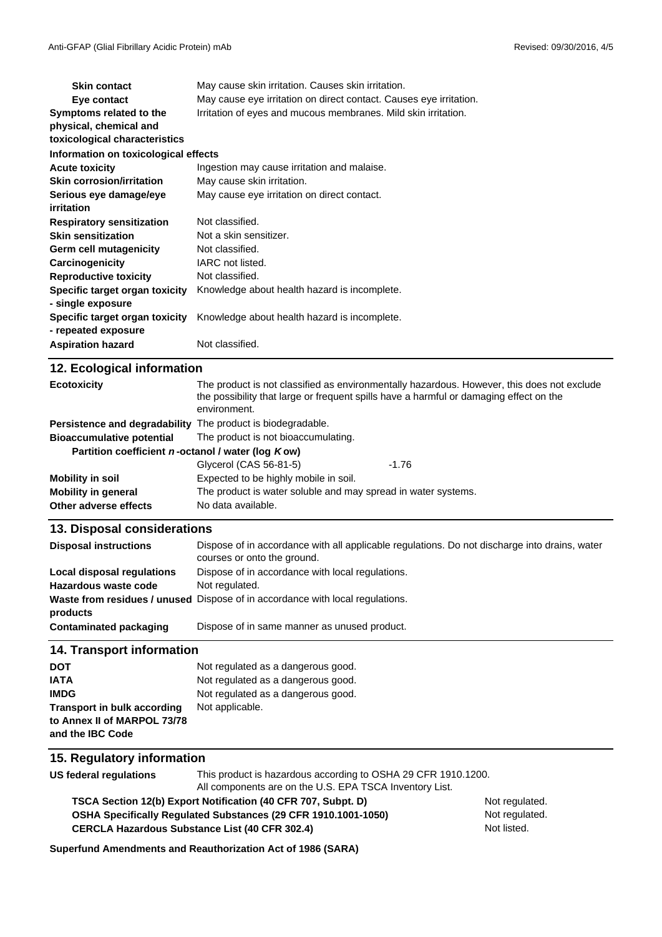| <b>Skin contact</b>                                   | May cause skin irritation. Causes skin irritation.                 |  |  |
|-------------------------------------------------------|--------------------------------------------------------------------|--|--|
| Eye contact                                           | May cause eye irritation on direct contact. Causes eye irritation. |  |  |
| Symptoms related to the                               | Irritation of eyes and mucous membranes. Mild skin irritation.     |  |  |
| physical, chemical and                                |                                                                    |  |  |
| toxicological characteristics                         |                                                                    |  |  |
| Information on toxicological effects                  |                                                                    |  |  |
| <b>Acute toxicity</b>                                 | Ingestion may cause irritation and malaise.                        |  |  |
| <b>Skin corrosion/irritation</b>                      | May cause skin irritation.                                         |  |  |
| Serious eye damage/eye                                | May cause eye irritation on direct contact.                        |  |  |
| irritation                                            |                                                                    |  |  |
| <b>Respiratory sensitization</b>                      | Not classified.                                                    |  |  |
| <b>Skin sensitization</b>                             | Not a skin sensitizer.                                             |  |  |
| Germ cell mutagenicity                                | Not classified.                                                    |  |  |
| Carcinogenicity                                       | IARC not listed.                                                   |  |  |
| <b>Reproductive toxicity</b>                          | Not classified.                                                    |  |  |
| Specific target organ toxicity                        | Knowledge about health hazard is incomplete.                       |  |  |
| - single exposure                                     |                                                                    |  |  |
| Specific target organ toxicity<br>- repeated exposure | Knowledge about health hazard is incomplete.                       |  |  |
| <b>Aspiration hazard</b>                              | Not classified.                                                    |  |  |

| 12. Ecological information                                  |                                                                                                                                                                                                      |         |
|-------------------------------------------------------------|------------------------------------------------------------------------------------------------------------------------------------------------------------------------------------------------------|---------|
| <b>Ecotoxicity</b>                                          | The product is not classified as environmentally hazardous. However, this does not exclude<br>the possibility that large or frequent spills have a harmful or damaging effect on the<br>environment. |         |
| Persistence and degradability The product is biodegradable. |                                                                                                                                                                                                      |         |
| <b>Bioaccumulative potential</b>                            | The product is not bioaccumulating.                                                                                                                                                                  |         |
| Partition coefficient n-octanol / water (log Kow)           |                                                                                                                                                                                                      |         |
|                                                             | Glycerol (CAS 56-81-5)                                                                                                                                                                               | $-1.76$ |
| Mobility in soil                                            | Expected to be highly mobile in soil.                                                                                                                                                                |         |
| <b>Mobility in general</b>                                  | The product is water soluble and may spread in water systems.                                                                                                                                        |         |
| Other adverse effects                                       | No data available.                                                                                                                                                                                   |         |

### **13. Disposal considerations**

| <b>Disposal instructions</b> | Dispose of in accordance with all applicable regulations. Do not discharge into drains, water<br>courses or onto the ground. |
|------------------------------|------------------------------------------------------------------------------------------------------------------------------|
| Local disposal regulations   | Dispose of in accordance with local regulations.                                                                             |
| Hazardous waste code         | Not regulated.                                                                                                               |
| products                     | <b>Waste from residues / unused</b> Dispose of in accordance with local regulations.                                         |
| Contaminated packaging       | Dispose of in same manner as unused product.                                                                                 |

#### **14. Transport information**

| <b>DOT</b>                         | Not regulated as a dangerous good. |
|------------------------------------|------------------------------------|
| <b>IATA</b>                        | Not regulated as a dangerous good. |
| <b>IMDG</b>                        | Not regulated as a dangerous good. |
| <b>Transport in bulk according</b> | Not applicable.                    |
| to Annex II of MARPOL 73/78        |                                    |
| and the IBC Code                   |                                    |

### **15. Regulatory information**

**US federal regulations** This product is hazardous according to OSHA 29 CFR 1910.1200.

All components are on the U.S. EPA TSCA Inventory List.

**CERCLA Hazardous Substance List (40 CFR 302.4) OSHA Specifically Regulated Substances (29 CFR 1910.1001-1050) TSCA Section 12(b) Export Notification (40 CFR 707, Subpt. D)** Not regulated.

Not regulated. Not listed.

**Superfund Amendments and Reauthorization Act of 1986 (SARA)**